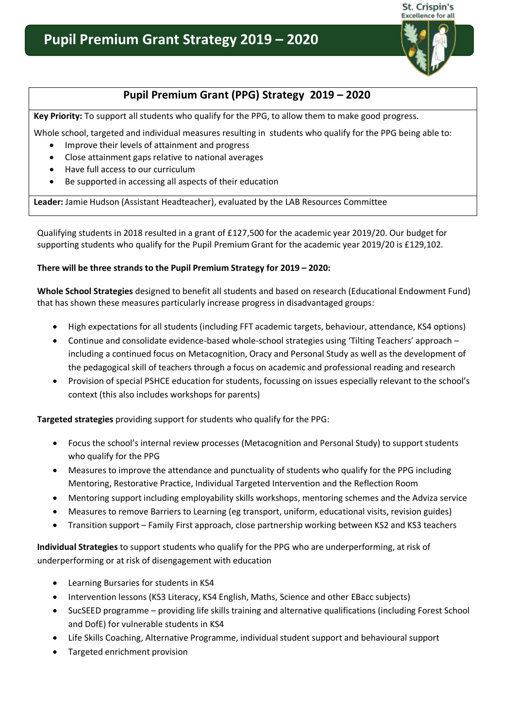

St. Crispin's

## **Pupil Premium Grant (PPG) Strategy 2019 – 2020**

**Key Priority:** To support all students who qualify for the PPG, to allow them to make good progress.

Whole school, targeted and individual measures resulting in students who qualify for the PPG being able to:

- Improve their levels of attainment and progress
- Close attainment gaps relative to national averages
- Have full access to our curriculum
- Be supported in accessing all aspects of their education

**Leader:** Jamie Hudson (Assistant Headteacher), evaluated by the LAB Resources Committee

Qualifying students in 2018 resulted in a grant of £127,500 for the academic year 2019/20. Our budget for supporting students who qualify for the Pupil Premium Grant for the academic year 2019/20 is £129,102.

## **There will be three strands to the Pupil Premium Strategy for 2019 – 2020:**

**Whole School Strategies** designed to benefit all students and based on research (Educational Endowment Fund) that has shown these measures particularly increase progress in disadvantaged groups:

- High expectations for all students (including FFT academic targets, behaviour, attendance, KS4 options)
- Continue and consolidate evidence-based whole-school strategies using 'Tilting Teachers' approach including a continued focus on Metacognition, Oracy and Personal Study as well as the development of the pedagogical skill of teachers through a focus on academic and professional reading and research
- Provision of special PSHCE education for students, focussing on issues especially relevant to the school's context (this also includes workshops for parents)

**Targeted strategies** providing support for students who qualify for the PPG:

- Focus the school's internal review processes (Metacognition and Personal Study) to support students who qualify for the PPG
- Measures to improve the attendance and punctuality of students who qualify for the PPG including Mentoring, Restorative Practice, Individual Targeted Intervention and the Reflection Room
- Mentoring support including employability skills workshops, mentoring schemes and the Adviza service
- Measures to remove Barriers to Learning (eg transport, uniform, educational visits, revision guides)
- Transition support Family First approach, close partnership working between KS2 and KS3 teachers

**Individual Strategies** to support students who qualify for the PPG who are underperforming, at risk of underperforming or at risk of disengagement with education

- Learning Bursaries for students in KS4
- Intervention lessons (KS3 Literacy, KS4 English, Maths, Science and other EBacc subjects)
- SucSEED programme providing life skills training and alternative qualifications (including Forest School and DofE) for vulnerable students in KS4
- Life Skills Coaching, Alternative Programme, individual student support and behavioural support
- Targeted enrichment provision